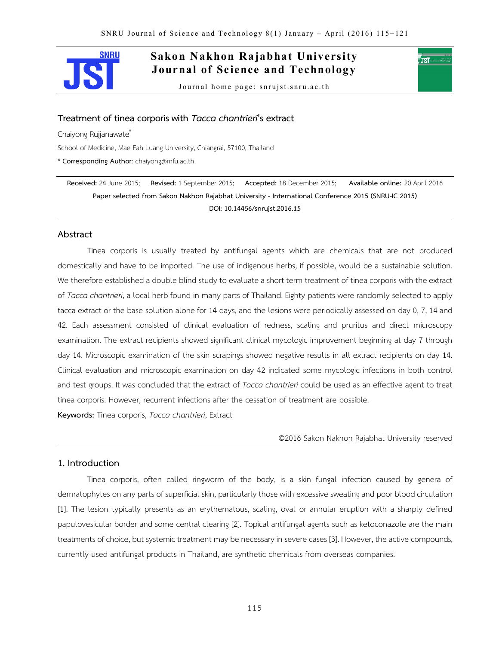

**Sakon Nakhon Rajabhat University Journal of Science and Technology**

Journal home page: snrujst.snru.ac.th

# **Treatment of tinea corporis with** *Tacca chantrieri***'s extract**

Chaiyong Rujjanawate\*

School of Medicine, Mae Fah Luang University, Chiangrai, 57100, Thailand

\* **Corresponding Author**: chaiyong@mfu.ac.th

**Received:** 24 June 2015; **Revised:** 1 September 2015; **Accepted:** 18 December 2015; **Available online:** 20 April 2016 **Paper selected from Sakon Nakhon Rajabhat University - International Conference 2015 (SNRU-IC 2015) DOI: 10.14456/snrujst.2016.15**

# **Abstract**

Tinea corporis is usually treated by antifungal agents which are chemicals that are not produced domestically and have to be imported. The use of indigenous herbs, if possible, would be a sustainable solution. We therefore established a double blind study to evaluate a short term treatment of tinea corporis with the extract of *Tacca chantrieri*, a local herb found in many parts of Thailand. Eighty patients were randomly selected to apply tacca extract or the base solution alone for 14 days, and the lesions were periodically assessed on day 0, 7, 14 and 42. Each assessment consisted of clinical evaluation of redness, scaling and pruritus and direct microscopy examination. The extract recipients showed significant clinical mycologic improvement beginning at day 7 through day 14. Microscopic examination of the skin scrapings showed negative results in all extract recipients on day 14. Clinical evaluation and microscopic examination on day 42 indicated some mycologic infections in both control and test groups. It was concluded that the extract of *Tacca chantrieri* could be used as an effective agent to treat tinea corporis. However, recurrent infections after the cessation of treatment are possible.

**Keywords:** Tinea corporis, *Tacca chantrieri*, Extract

©2016 Sakon Nakhon Rajabhat University reserved

′ाडाँ ∘

# **1. Introduction**

Tinea corporis, often called ringworm of the body, is a skin fungal infection caused by genera of dermatophytes on any parts of superficial skin, particularly those with excessive sweating and poor blood circulation [1]. The lesion typically presents as an erythematous, scaling, oval or annular eruption with a sharply defined papulovesicular border and some central clearing [2]. Topical antifungal agents such as ketoconazole are the main treatments of choice, but systemic treatment may be necessary in severe cases [3]. However, the active compounds, currently used antifungal products in Thailand, are synthetic chemicals from overseas companies.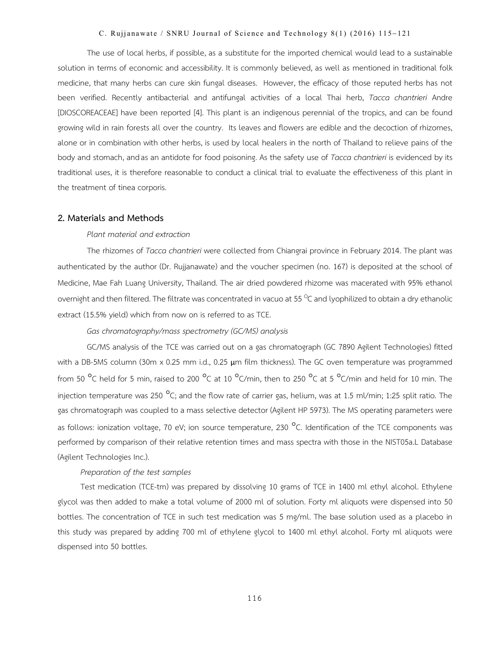#### C. Rujjanawate / SNRU Journal of Science and Technology  $8(1)$  (2016) 115-121

The use of local herbs, if possible, as a substitute for the imported chemical would lead to a sustainable solution in terms of economic and accessibility. It is commonly believed, as well as mentioned in traditional folk medicine, that many herbs can cure skin fungal diseases. However, the efficacy of those reputed herbs has not been verified. Recently antibacterial and antifungal activities of a local Thai herb, *Tacca chantrieri* Andre [DIOSCOREACEAE] have been reported [4]. This plant is an indigenous perennial of the tropics, and can be found growing wild in rain forests all over the country. Its leaves and flowers are edible and the decoction of rhizomes, alone or in combination with other herbs, is used by local healers in the north of Thailand to relieve pains of the body and stomach, and as an antidote for food poisoning. As the safety use of *Tacca chantrieri* is evidenced by its traditional uses, it is therefore reasonable to conduct a clinical trial to evaluate the effectiveness of this plant in the treatment of tinea corporis.

#### **2. Materials and Methods**

#### *Plant material and extraction*

The rhizomes of *Tacca chantrieri* were collected from Chiangrai province in February 2014. The plant was authenticated by the author (Dr. Rujjanawate) and the voucher specimen (no. 167) is deposited at the school of Medicine, Mae Fah Luang University, Thailand. The air dried powdered rhizome was macerated with 95% ethanol overnight and then filtered. The filtrate was concentrated in vacuo at 55 <sup>o</sup>C and lyophilized to obtain a dry ethanolic extract (15.5% yield) which from now on is referred to as TCE.

*Gas chromatography/mass spectrometry (GC/MS) analysis*

GC/MS analysis of the TCE was carried out on a gas chromatograph (GC 7890 Agilent Technologies) fitted with a DB-5MS column (30m x 0.25 mm i.d., 0.25 μm film thickness). The GC oven temperature was programmed from 50  $^{\circ}$ C held for 5 min, raised to 200  $^{\circ}$ C at 10  $^{\circ}$ C/min, then to 250  $^{\circ}$ C at 5  $^{\circ}$ C/min and held for 10 min. The injection temperature was 250  $^{\circ}$ C; and the flow rate of carrier gas, helium, was at 1.5 ml/min; 1:25 split ratio. The gas chromatograph was coupled to a mass selective detector (Agilent HP 5973). The MS operating parameters were as follows: ionization voltage, 70 eV; ion source temperature, 230  $^{\circ}$ C. Identification of the TCE components was performed by comparison of their relative retention times and mass spectra with those in the NIST05a.L Database (Agilent Technologies Inc.).

## *Preparation of the test samples*

Test medication (TCE-tm) was prepared by dissolving 10 grams of TCE in 1400 ml ethyl alcohol. Ethylene glycol was then added to make a total volume of 2000 ml of solution. Forty ml aliquots were dispensed into 50 bottles. The concentration of TCE in such test medication was 5 mg/ml. The base solution used as a placebo in this study was prepared by adding 700 ml of ethylene glycol to 1400 ml ethyl alcohol. Forty ml aliquots were dispensed into 50 bottles.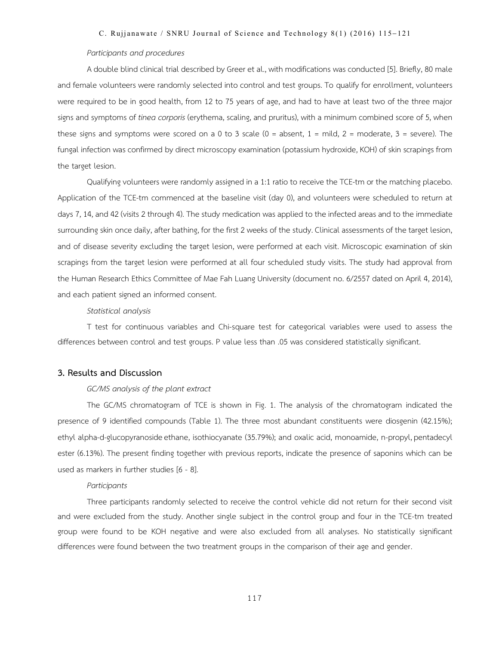#### C. Rujjanawate / SNRU Journal of Science and Technology  $8(1)$  (2016) 115-121

## *Participants and procedures*

A double blind clinical trial described by Greer et al., with modifications was conducted [5]. Briefly, 80 male and female volunteers were randomly selected into control and test groups. To qualify for enrollment, volunteers were required to be in good health, from 12 to 75 years of age, and had to have at least two of the three major signs and symptoms of *tinea corporis* (erythema, scaling, and pruritus), with a minimum combined score of 5, when these signs and symptoms were scored on a 0 to 3 scale (0 = absent, 1 = mild, 2 = moderate, 3 = severe). The fungal infection was confirmed by direct microscopy examination (potassium hydroxide, KOH) of skin scrapings from the target lesion.

Qualifying volunteers were randomly assigned in a 1:1 ratio to receive the TCE-tm or the matching placebo. Application of the TCE-tm commenced at the baseline visit (day 0), and volunteers were scheduled to return at days 7, 14, and 42 (visits 2 through 4). The study medication was applied to the infected areas and to the immediate surrounding skin once daily, after bathing, for the first 2 weeks of the study. Clinical assessments of the target lesion, and of disease severity excluding the target lesion, were performed at each visit. Microscopic examination of skin scrapings from the target lesion were performed at all four scheduled study visits. The study had approval from the Human Research Ethics Committee of Mae Fah Luang University (document no. 6/2557 dated on April 4, 2014), and each patient signed an informed consent.

#### *Statistical analysis*

T test for continuous variables and Chi-square test for categorical variables were used to assess the differences between control and test groups. P value less than .05 was considered statistically significant.

## **3. Results and Discussion**

## *GC/MS analysis of the plant extract*

The GC/MS chromatogram of TCE is shown in Fig. 1. The analysis of the chromatogram indicated the presence of 9 identified compounds (Table 1). The three most abundant constituents were diosgenin (42.15%); ethyl alpha-d-glucopyranoside ethane, isothiocyanate (35.79%); and oxalic acid, monoamide, n-propyl, pentadecyl ester (6.13%). The present finding together with previous reports, indicate the presence of saponins which can be used as markers in further studies [6 - 8].

### *Participants*

Three participants randomly selected to receive the control vehicle did not return for their second visit and were excluded from the study. Another single subject in the control group and four in the TCE-tm treated group were found to be KOH negative and were also excluded from all analyses. No statistically significant differences were found between the two treatment groups in the comparison of their age and gender.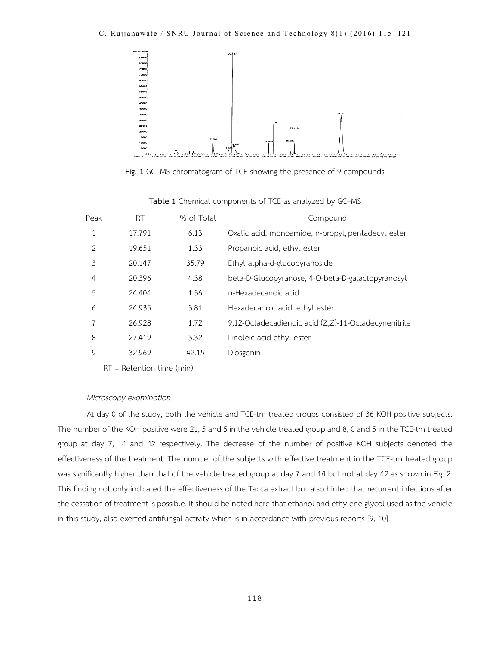

**Fig. 1** GC–MS chromatogram of TCE showing the presence of 9 compounds

| Peak           | <b>RT</b> | % of Total | Compound                                             |  |  |
|----------------|-----------|------------|------------------------------------------------------|--|--|
| $\mathbf{1}$   | 17.791    | 6.13       | Oxalic acid, monoamide, n-propyl, pentadecyl ester   |  |  |
| $\mathfrak{D}$ | 19.651    | 1.33       | Propanoic acid, ethyl ester                          |  |  |
| 3              | 20.147    | 35.79      | Ethyl alpha-d-glucopyranoside                        |  |  |
| 4              | 20.396    | 4.38       | beta-D-Glucopyranose, 4-O-beta-D-galactopyranosyl    |  |  |
| 5              | 24.404    | 1.36       | n-Hexadecanoic acid                                  |  |  |
| 6              | 24.935    | 3.81       | Hexadecanoic acid, ethyl ester                       |  |  |
| $\overline{7}$ | 26.928    | 1.72       | 9,12-Octadecadienoic acid (Z,Z)-11-Octadecynenitrile |  |  |
| 8              | 27.419    | 3.32       | Linoleic acid ethyl ester                            |  |  |
| 9              | 32.969    | 42.15      | Diosgenin                                            |  |  |

**Table 1** Chemical components of TCE as analyzed by GC–MS

RT = Retention time (min)

## *Microscopy examination*

At day 0 of the study, both the vehicle and TCE-tm treated groups consisted of 36 KOH positive subjects. The number of the KOH positive were 21, 5 and 5 in the vehicle treated group and 8, 0 and 5 in the TCE-tm treated group at day 7, 14 and 42 respectively. The decrease of the number of positive KOH subjects denoted the effectiveness of the treatment. The number of the subjects with effective treatment in the TCE-tm treated group was significantly higher than that of the vehicle treated group at day 7 and 14 but not at day 42 as shown in Fig. 2. This finding not only indicated the effectiveness of the Tacca extract but also hinted that recurrent infections after the cessation of treatment is possible. It should be noted here that ethanol and ethylene glycol used as the vehicle in this study, also exerted antifungal activity which is in accordance with previous reports [9, 10].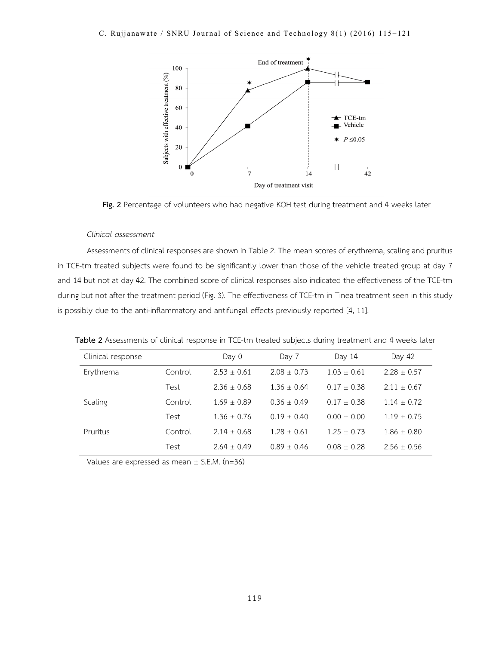

**Fig. 2** Percentage of volunteers who had negative KOH test during treatment and 4 weeks later

#### *Clinical assessment*

Assessments of clinical responses are shown in Table 2. The mean scores of erythrema, scaling and pruritus in TCE-tm treated subjects were found to be significantly lower than those of the vehicle treated group at day 7 and 14 but not at day 42. The combined score of clinical responses also indicated the effectiveness of the TCE-tm during but not after the treatment period (Fig. 3). The effectiveness of TCE-tm in Tinea treatment seen in this study is possibly due to the anti-inflammatory and antifungal effects previously reported [4, 11].

**Table 2** Assessments of clinical response in TCE-tm treated subjects during treatment and 4 weeks later

| Clinical response |         | Day 0           | Day 7           | Day 14          | Day 42          |
|-------------------|---------|-----------------|-----------------|-----------------|-----------------|
| Erythrema         | Control | $2.53 \pm 0.61$ | $2.08 \pm 0.73$ | $1.03 \pm 0.61$ | $2.28 \pm 0.57$ |
|                   | Test    | $2.36 \pm 0.68$ | $1.36 \pm 0.64$ | $0.17 \pm 0.38$ | $2.11 \pm 0.67$ |
| Scaling           | Control | $1.69 \pm 0.89$ | $0.36 \pm 0.49$ | $0.17 \pm 0.38$ | $1.14 \pm 0.72$ |
|                   | Test    | $1.36 \pm 0.76$ | $0.19 \pm 0.40$ | $0.00 \pm 0.00$ | $1.19 \pm 0.75$ |
| Pruritus          | Control | $2.14 \pm 0.68$ | $1.28 \pm 0.61$ | $1.25 \pm 0.73$ | $1.86 \pm 0.80$ |
|                   | Test    | $2.64 \pm 0.49$ | $0.89 \pm 0.46$ | $0.08 \pm 0.28$ | $2.56 \pm 0.56$ |
|                   |         |                 |                 |                 |                 |

Values are expressed as mean  $\pm$  S.E.M. (n=36)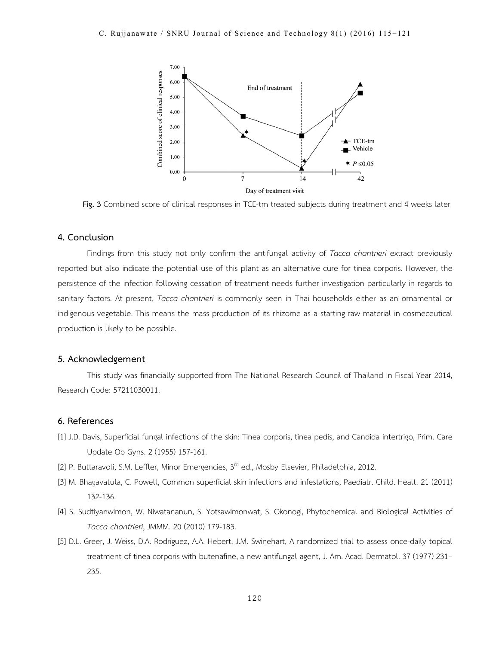

**Fig. 3** Combined score of clinical responses in TCE-tm treated subjects during treatment and 4 weeks later

# **4. Conclusion**

Findings from this study not only confirm the antifungal activity of *Tacca chantrieri* extract previously reported but also indicate the potential use of this plant as an alternative cure for tinea corporis. However, the persistence of the infection following cessation of treatment needs further investigation particularly in regards to sanitary factors. At present, *Tacca chantrieri* is commonly seen in Thai households either as an ornamental or indigenous vegetable. This means the mass production of its rhizome as a starting raw material in cosmeceutical production is likely to be possible.

## **5. Acknowledgement**

This study was financially supported from The National Research Council of Thailand In Fiscal Year 2014, Research Code: 57211030011.

# **6. References**

- [1] J.D. Davis, Superficial fungal infections of the skin: Tinea corporis, tinea pedis, and Candida intertrigo, Prim. Care Update Ob Gyns. 2 (1955) 157-161.
- [2] P. Buttaravoli, S.M. Leffler, Minor Emergencies, 3<sup>rd</sup> ed., Mosby Elsevier, Philadelphia, 2012.
- [3] M. Bhagavatula, C. Powell, Common superficial skin infections and infestations, Paediatr. Child. Healt. 21 (2011) 132-136.
- [4] S. Sudtiyanwimon, W. Niwatananun, S. Yotsawimonwat, S. Okonogi, Phytochemical and Biological Activities of *Tacca chantrieri*, JMMM. 20 (2010) 179-183.
- [5] D.L. Greer, J. Weiss, D.A. Rodriguez, A.A. Hebert, J.M. Swinehart, A randomized trial to assess once-daily topical treatment of tinea corporis with butenafine, a new antifungal agent, J. Am. Acad. Dermatol. 37 (1977) 231– 235.